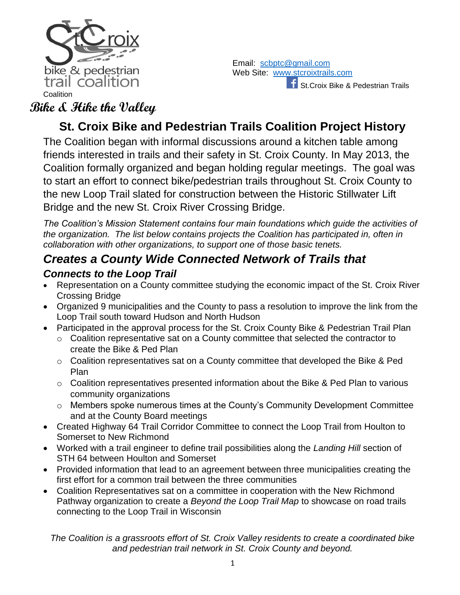

Email: [scbptc@gmail.com](mailto:scbptc@gmail.com) Web Site: [www.stcroixtrails.com](http://www.stcroixtrails.com/) **F** St.Croix Bike & Pedestrian Trails

### **Bike & Hike the Valley**

# **St. Croix Bike and Pedestrian Trails Coalition Project History**

The Coalition began with informal discussions around a kitchen table among friends interested in trails and their safety in St. Croix County. In May 2013, the Coalition formally organized and began holding regular meetings. The goal was to start an effort to connect bike/pedestrian trails throughout St. Croix County to the new Loop Trail slated for construction between the Historic Stillwater Lift Bridge and the new St. Croix River Crossing Bridge.

*The Coalition's Mission Statement contains four main foundations which guide the activities of the organization. The list below contains projects the Coalition has participated in, often in collaboration with other organizations, to support one of those basic tenets.*

### *Creates a County Wide Connected Network of Trails that*

#### *Connects to the Loop Trail*

- Representation on a County committee studying the economic impact of the St. Croix River Crossing Bridge
- Organized 9 municipalities and the County to pass a resolution to improve the link from the Loop Trail south toward Hudson and North Hudson
- Participated in the approval process for the St. Croix County Bike & Pedestrian Trail Plan
	- o Coalition representative sat on a County committee that selected the contractor to create the Bike & Ped Plan
	- o Coalition representatives sat on a County committee that developed the Bike & Ped Plan
	- o Coalition representatives presented information about the Bike & Ped Plan to various community organizations
	- o Members spoke numerous times at the County's Community Development Committee and at the County Board meetings
- Created Highway 64 Trail Corridor Committee to connect the Loop Trail from Houlton to Somerset to New Richmond
- Worked with a trail engineer to define trail possibilities along the *Landing Hill* section of STH 64 between Houlton and Somerset
- Provided information that lead to an agreement between three municipalities creating the first effort for a common trail between the three communities
- Coalition Representatives sat on a committee in cooperation with the New Richmond Pathway organization to create a *Beyond the Loop Trail Map* to showcase on road trails connecting to the Loop Trail in Wisconsin

*The Coalition is a grassroots effort of St. Croix Valley residents to create a coordinated bike and pedestrian trail network in St. Croix County and beyond.*